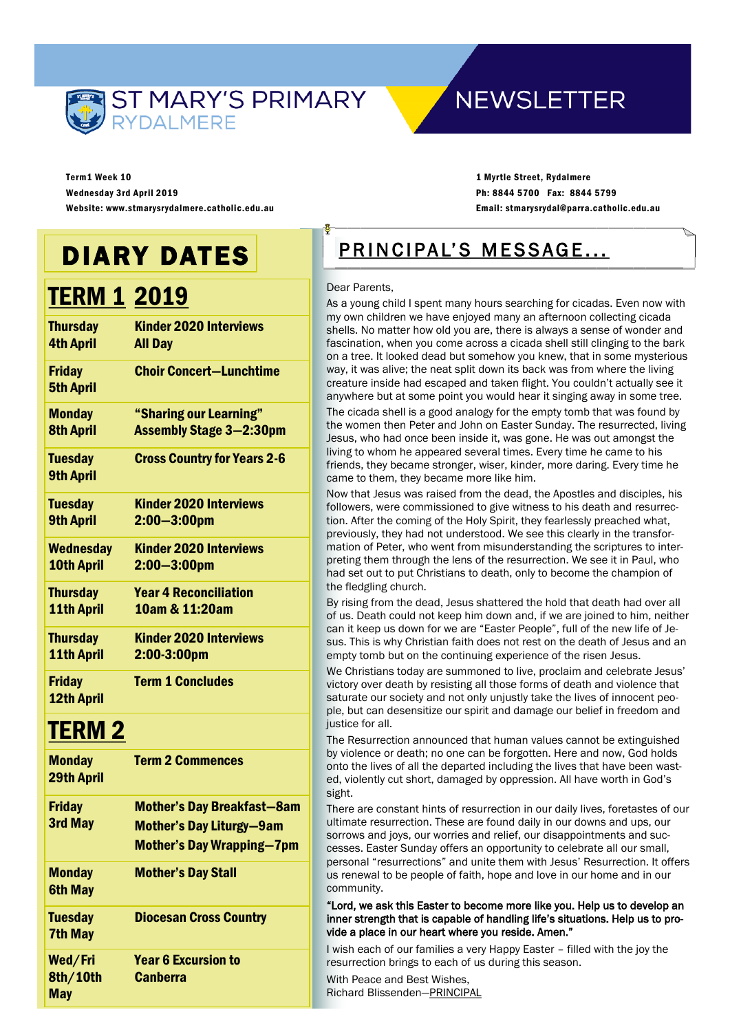

# **NEWSLETTER**

Term1 Week 10 Wednesday 3rd April 2019 Website: www.stmarysrydalmere.catholic.edu.au

1 Myrtle Street, Rydalmere Ph: 8844 5700 Fax: 8844 5799 Email: stmarysrydal@parra.catholic.edu.au

# DIARY DATES

# **TERM 1 2019**

| <b>Kinder 2020 Interviews</b><br><b>All Day</b>          |
|----------------------------------------------------------|
| <b>Choir Concert-Lunchtime</b>                           |
| "Sharing our Learning"<br><b>Assembly Stage 3-2:30pm</b> |
| <b>Cross Country for Years 2-6</b>                       |
| <b>Kinder 2020 Interviews</b><br>$2:00 - 3:00$ pm        |
| <b>Kinder 2020 Interviews</b><br>$2:00 - 3:00$ pm        |
| <b>Year 4 Reconciliation</b><br>10am & 11:20am           |
| <b>Kinder 2020 Interviews</b><br>2:00-3:00pm             |
| <b>Term 1 Concludes</b>                                  |
|                                                          |

## TERM 2

| <b>Monday</b><br><b>29th April</b> | <b>Term 2 Commences</b>                                                                                  |
|------------------------------------|----------------------------------------------------------------------------------------------------------|
| <b>Friday</b><br>3rd May           | <b>Mother's Day Breakfast-8am</b><br><b>Mother's Day Liturgy-9am</b><br><b>Mother's Day Wrapping–7pm</b> |
| <b>Monday</b><br><b>6th May</b>    | <b>Mother's Day Stall</b>                                                                                |
| <b>Tuesday</b><br><b>7th May</b>   | <b>Diocesan Cross Country</b>                                                                            |
| Wed/Fri<br>8th/10th<br>May         | <b>Year 6 Excursion to</b><br><b>Canberra</b>                                                            |

# PRINCIPAL'S MESSAGE...

#### Dear Parents,

As a young child I spent many hours searching for cicadas. Even now with my own children we have enjoyed many an afternoon collecting cicada shells. No matter how old you are, there is always a sense of wonder and fascination, when you come across a cicada shell still clinging to the bark on a tree. It looked dead but somehow you knew, that in some mysterious way, it was alive; the neat split down its back was from where the living creature inside had escaped and taken flight. You couldn't actually see it anywhere but at some point you would hear it singing away in some tree.

The cicada shell is a good analogy for the empty tomb that was found by the women then Peter and John on Easter Sunday. The resurrected, living Jesus, who had once been inside it, was gone. He was out amongst the living to whom he appeared several times. Every time he came to his friends, they became stronger, wiser, kinder, more daring. Every time he came to them, they became more like him.

Now that Jesus was raised from the dead, the Apostles and disciples, his followers, were commissioned to give witness to his death and resurrection. After the coming of the Holy Spirit, they fearlessly preached what, previously, they had not understood. We see this clearly in the transformation of Peter, who went from misunderstanding the scriptures to interpreting them through the lens of the resurrection. We see it in Paul, who had set out to put Christians to death, only to become the champion of the fledgling church.

By rising from the dead, Jesus shattered the hold that death had over all of us. Death could not keep him down and, if we are joined to him, neither can it keep us down for we are "Easter People", full of the new life of Jesus. This is why Christian faith does not rest on the death of Jesus and an empty tomb but on the continuing experience of the risen Jesus.

We Christians today are summoned to live, proclaim and celebrate Jesus' victory over death by resisting all those forms of death and violence that saturate our society and not only unjustly take the lives of innocent people, but can desensitize our spirit and damage our belief in freedom and justice for all.

The Resurrection announced that human values cannot be extinguished by violence or death; no one can be forgotten. Here and now, God holds onto the lives of all the departed including the lives that have been wasted, violently cut short, damaged by oppression. All have worth in God's sight.

There are constant hints of resurrection in our daily lives, foretastes of our ultimate resurrection. These are found daily in our downs and ups, our sorrows and joys, our worries and relief, our disappointments and successes. Easter Sunday offers an opportunity to celebrate all our small, personal "resurrections" and unite them with Jesus' Resurrection. It offers us renewal to be people of faith, hope and love in our home and in our community.

"Lord, we ask this Easter to become more like you. Help us to develop an inner strength that is capable of handling life's situations. Help us to provide a place in our heart where you reside. Amen."

I wish each of our families a very Happy Easter – filled with the joy the resurrection brings to each of us during this season.

With Peace and Best Wishes, Richard Blissenden—PRINCIPAL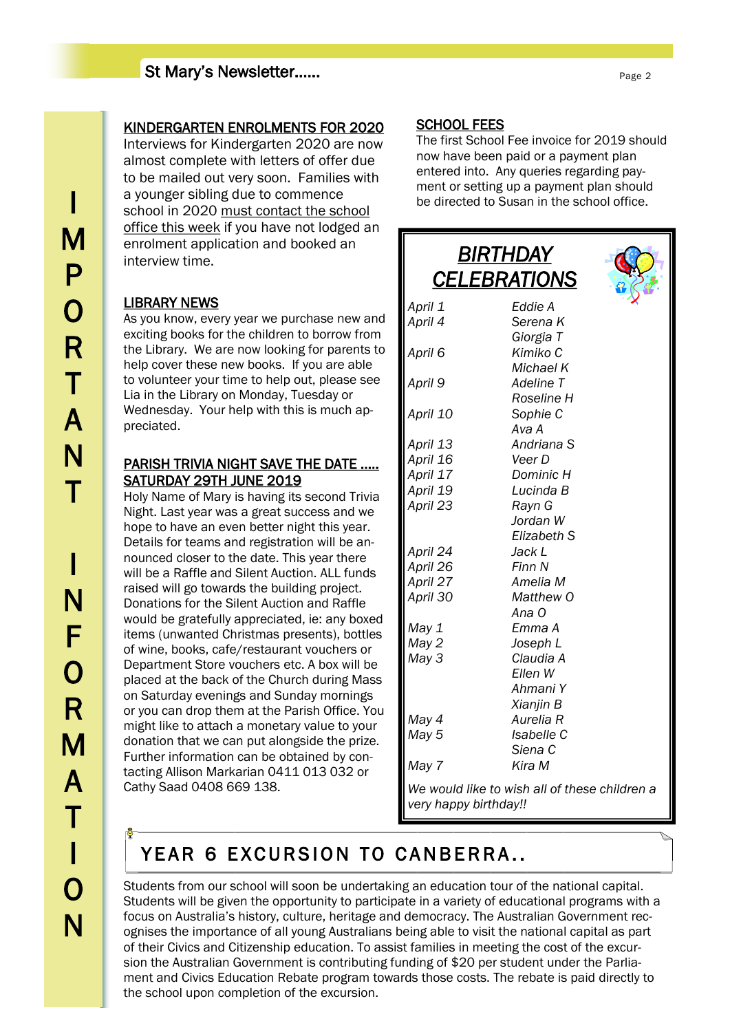# I M P  $\overline{O}$ R T A N T I N F O R M A T I O N

## KINDERGARTEN ENROLMENTS FOR 2020

Interviews for Kindergarten 2020 are now almost complete with letters of offer due to be mailed out very soon. Families with a younger sibling due to commence school in 2020 must contact the school office this week if you have not lodged an enrolment application and booked an interview time.

### LIBRARY NEWS

As you know, every year we purchase new and exciting books for the children to borrow from the Library. We are now looking for parents to help cover these new books. If you are able to volunteer your time to help out, please see Lia in the Library on Monday, Tuesday or Wednesday. Your help with this is much appreciated.

### PARISH TRIVIA NIGHT SAVE THE DATE ….. SATURDAY 29TH JUNE 2019

Holy Name of Mary is having its second Trivia Night. Last year was a great success and we hope to have an even better night this year. Details for teams and registration will be announced closer to the date. This year there will be a Raffle and Silent Auction. ALL funds raised will go towards the building project. Donations for the Silent Auction and Raffle would be gratefully appreciated, ie: any boxed items (unwanted Christmas presents), bottles of wine, books, cafe/restaurant vouchers or Department Store vouchers etc. A box will be placed at the back of the Church during Mass on Saturday evenings and Sunday mornings or you can drop them at the Parish Office. You might like to attach a monetary value to your donation that we can put alongside the prize. Further information can be obtained by contacting Allison Markarian 0411 013 032 or Cathy Saad 0408 669 138.

## SCHOOL FEES

The first School Fee invoice for 2019 should now have been paid or a payment plan entered into. Any queries regarding payment or setting up a payment plan should be directed to Susan in the school office.

|          | BIRTHDAY<br><u>CELEBRATIONS</u>               |  |
|----------|-----------------------------------------------|--|
| April 1  | Eddie A                                       |  |
| April 4  | Serena K                                      |  |
|          | Giorgia T                                     |  |
| April 6  | Kimiko C                                      |  |
|          | Michael K                                     |  |
| April 9  | Adeline T                                     |  |
|          | Roseline H                                    |  |
| April 10 | Sophie C<br>Ava A                             |  |
| April 13 | Andriana S                                    |  |
| April 16 | Veer D                                        |  |
| April 17 | Dominic H                                     |  |
| April 19 | Lucinda B                                     |  |
| April 23 | Rayn G                                        |  |
|          | Jordan W                                      |  |
|          | Elizabeth S                                   |  |
| April 24 | Jack L                                        |  |
| April 26 | Finn N                                        |  |
| April 27 | Amelia M                                      |  |
| April 30 | Matthew O<br>Ana O                            |  |
| May 1    | Emma A                                        |  |
| May 2    | Joseph L                                      |  |
| May 3    | Claudia A                                     |  |
|          | Ellen W                                       |  |
|          | Ahmani Y                                      |  |
|          | Xianjin B                                     |  |
| May 4    | Aurelia R                                     |  |
| May 5    | Isabelle C                                    |  |
|          | Siena C                                       |  |
| May 7    | Kira M                                        |  |
|          | We would like to wish all of these children a |  |

*very happy birthday!!*

# YEAR 6 EXCURSION TO CANBERRA..

Students from our school will soon be undertaking an education tour of the national capital. Students will be given the opportunity to participate in a variety of educational programs with a focus on Australia's history, culture, heritage and democracy. The Australian Government recognises the importance of all young Australians being able to visit the national capital as part of their Civics and Citizenship education. To assist families in meeting the cost of the excursion the Australian Government is contributing funding of \$20 per student under the Parliament and Civics Education Rebate program towards those costs. The rebate is paid directly to the school upon completion of the excursion.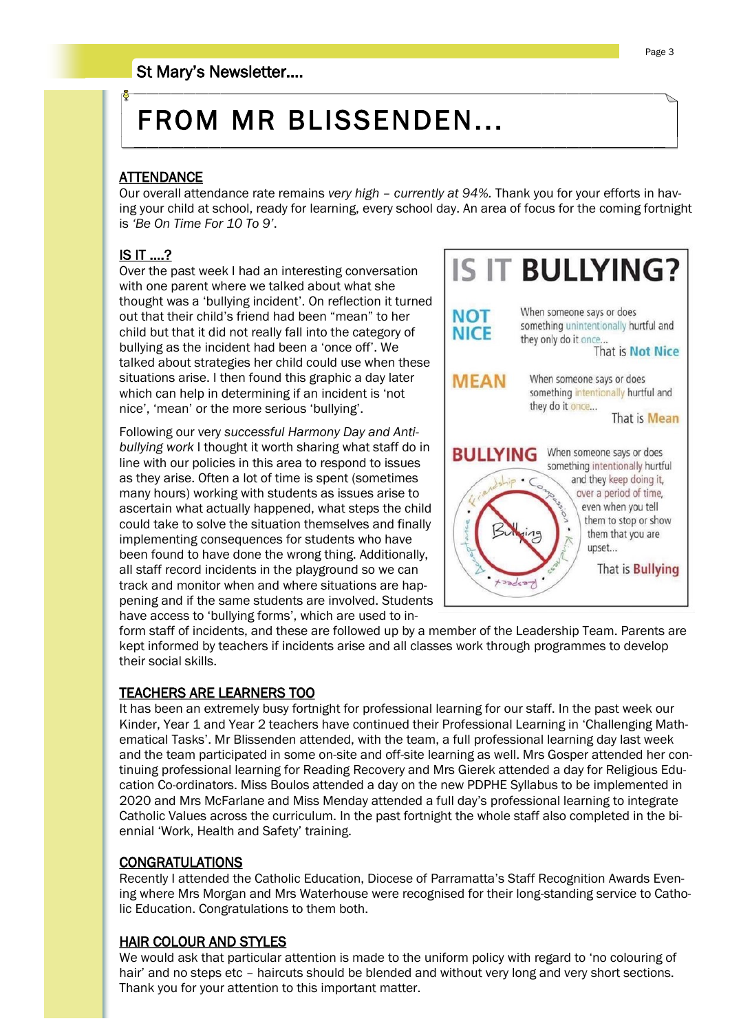# FROM MR BLISSENDEN...

## **ATTENDANCE**

Our overall attendance rate remains *very high – currently at 94%.* Thank you for your efforts in having your child at school, ready for learning, every school day. An area of focus for the coming fortnight is *'Be On Time For 10 To 9'*.

## IS IT ….?

Over the past week I had an interesting conversation with one parent where we talked about what she thought was a 'bullying incident'. On reflection it turned out that their child's friend had been "mean" to her child but that it did not really fall into the category of bullying as the incident had been a 'once off'. We talked about strategies her child could use when these situations arise. I then found this graphic a day later which can help in determining if an incident is 'not nice', 'mean' or the more serious 'bullying'.

Following our very *successful Harmony Day and Antibullying work* I thought it worth sharing what staff do in line with our policies in this area to respond to issues as they arise. Often a lot of time is spent (sometimes many hours) working with students as issues arise to ascertain what actually happened, what steps the child could take to solve the situation themselves and finally implementing consequences for students who have been found to have done the wrong thing. Additionally, all staff record incidents in the playground so we can track and monitor when and where situations are happening and if the same students are involved. Students have access to 'bullying forms', which are used to in-



form staff of incidents, and these are followed up by a member of the Leadership Team. Parents are kept informed by teachers if incidents arise and all classes work through programmes to develop their social skills.

### TEACHERS ARE LEARNERS TOO

It has been an extremely busy fortnight for professional learning for our staff. In the past week our Kinder, Year 1 and Year 2 teachers have continued their Professional Learning in 'Challenging Mathematical Tasks'. Mr Blissenden attended, with the team, a full professional learning day last week and the team participated in some on-site and off-site learning as well. Mrs Gosper attended her continuing professional learning for Reading Recovery and Mrs Gierek attended a day for Religious Education Co-ordinators. Miss Boulos attended a day on the new PDPHE Syllabus to be implemented in 2020 and Mrs McFarlane and Miss Menday attended a full day's professional learning to integrate Catholic Values across the curriculum. In the past fortnight the whole staff also completed in the biennial 'Work, Health and Safety' training.

### CONGRATULATIONS

Recently I attended the Catholic Education, Diocese of Parramatta's Staff Recognition Awards Evening where Mrs Morgan and Mrs Waterhouse were recognised for their long-standing service to Catholic Education. Congratulations to them both.

#### HAIR COLOUR AND STYLES

We would ask that particular attention is made to the uniform policy with regard to 'no colouring of hair' and no steps etc – haircuts should be blended and without very long and very short sections. Thank you for your attention to this important matter.